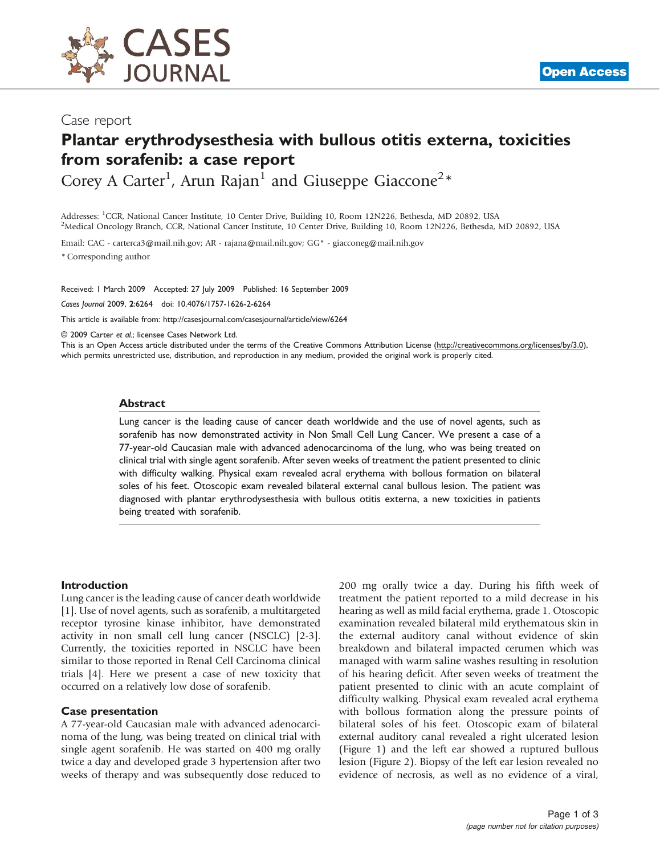

## Case report

# Plantar erythrodysesthesia with bullous otitis externa, toxicities from sorafenib: a case report

Corey A Carter<sup>1</sup>, Arun Rajan<sup>1</sup> and Giuseppe Giaccone<sup>2</sup>\*

Addresses: <sup>1</sup>CCR, National Cancer Institute, 10 Center Drive, Building 10, Room 12N226, Bethesda, MD 20892, USA<br><sup>2</sup>Medical Oncology Branch, CCR, National Cancer Institute, 10 Center Drive, Building 10, Boom 12N226, Bethes <sup>2</sup>Medical Oncology Branch, CCR, National Cancer Institute, 10 Center Drive, Building 10, Room 12N226, Bethesda, MD 20892, USA

Email: CAC - [carterca3@mail.nih.gov](mailto:carterca3@mail.nih.gov); AR - [rajana@mail.nih.gov](mailto:rajana@mail.nih.gov); GG\* - [giacconeg@mail.nih.gov](mailto:giacconeg@mail.nih.gov)

\* Corresponding author

Received: 1 March 2009 Accepted: 27 July 2009 Published: 16 September 2009

Cases Journal 2009, 2:6264 doi: 10.4076/1757-1626-2-6264

This article is available from:<http://casesjournal.com/casesjournal/article/view/6264>

© 2009 Carter et al.; licensee Cases Network Ltd.

This is an Open Access article distributed under the terms of the Creative Commons Attribution License [\(http://creativecommons.org/licenses/by/3.0\)](http://creativecommons.org/licenses/by/3.0), which permits unrestricted use, distribution, and reproduction in any medium, provided the original work is properly cited.

#### Abstract

Lung cancer is the leading cause of cancer death worldwide and the use of novel agents, such as sorafenib has now demonstrated activity in Non Small Cell Lung Cancer. We present a case of a 77-year-old Caucasian male with advanced adenocarcinoma of the lung, who was being treated on clinical trial with single agent sorafenib. After seven weeks of treatment the patient presented to clinic with difficulty walking. Physical exam revealed acral erythema with bollous formation on bilateral soles of his feet. Otoscopic exam revealed bilateral external canal bullous lesion. The patient was diagnosed with plantar erythrodysesthesia with bullous otitis externa, a new toxicities in patients being treated with sorafenib.

#### Introduction

Lung cancer is the leading cause of cancer death worldwide [\[1](#page-2-0)]. Use of novel agents, such as sorafenib, a multitargeted receptor tyrosine kinase inhibitor, have demonstrated activity in non small cell lung cancer (NSCLC) [\[2](#page-2-0)-[3\]](#page-2-0). Currently, the toxicities reported in NSCLC have been similar to those reported in Renal Cell Carcinoma clinical trials [\[4\]](#page-2-0). Here we present a case of new toxicity that occurred on a relatively low dose of sorafenib.

#### Case presentation

A 77-year-old Caucasian male with advanced adenocarcinoma of the lung, was being treated on clinical trial with single agent sorafenib. He was started on 400 mg orally twice a day and developed grade 3 hypertension after two weeks of therapy and was subsequently dose reduced to

200 mg orally twice a day. During his fifth week of treatment the patient reported to a mild decrease in his hearing as well as mild facial erythema, grade 1. Otoscopic examination revealed bilateral mild erythematous skin in the external auditory canal without evidence of skin breakdown and bilateral impacted cerumen which was managed with warm saline washes resulting in resolution of his hearing deficit. After seven weeks of treatment the patient presented to clinic with an acute complaint of difficulty walking. Physical exam revealed acral erythema with bollous formation along the pressure points of bilateral soles of his feet. Otoscopic exam of bilateral external auditory canal revealed a right ulcerated lesion ([Figure 1](#page-1-0)) and the left ear showed a ruptured bullous lesion ([Figure 2](#page-1-0)). Biopsy of the left ear lesion revealed no evidence of necrosis, as well as no evidence of a viral,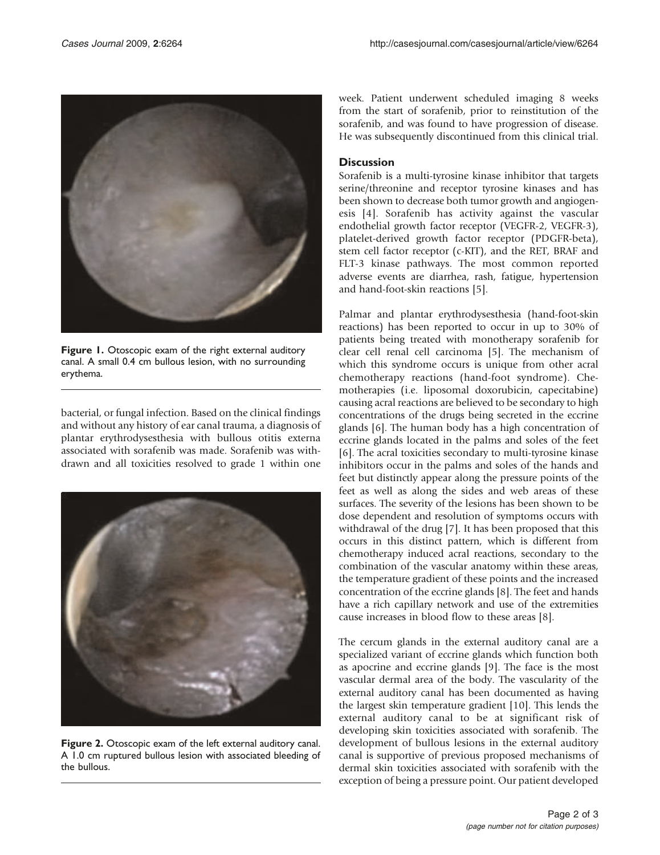<span id="page-1-0"></span>

Figure 1. Otoscopic exam of the right external auditory canal. A small 0.4 cm bullous lesion, with no surrounding erythema.

bacterial, or fungal infection. Based on the clinical findings and without any history of ear canal trauma, a diagnosis of plantar erythrodysesthesia with bullous otitis externa associated with sorafenib was made. Sorafenib was withdrawn and all toxicities resolved to grade 1 within one



Figure 2. Otoscopic exam of the left external auditory canal. A 1.0 cm ruptured bullous lesion with associated bleeding of the bullous.

week. Patient underwent scheduled imaging 8 weeks from the start of sorafenib, prior to reinstitution of the sorafenib, and was found to have progression of disease. He was subsequently discontinued from this clinical trial.

## **Discussion**

Sorafenib is a multi-tyrosine kinase inhibitor that targets serine/threonine and receptor tyrosine kinases and has been shown to decrease both tumor growth and angiogenesis [[4](#page-2-0)]. Sorafenib has activity against the vascular endothelial growth factor receptor (VEGFR-2, VEGFR-3), platelet-derived growth factor receptor (PDGFR-beta), stem cell factor receptor (c-KIT), and the RET, BRAF and FLT-3 kinase pathways. The most common reported adverse events are diarrhea, rash, fatigue, hypertension and hand-foot-skin reactions [[5](#page-2-0)].

Palmar and plantar erythrodysesthesia (hand-foot-skin reactions) has been reported to occur in up to 30% of patients being treated with monotherapy sorafenib for clear cell renal cell carcinoma [\[5\]](#page-2-0). The mechanism of which this syndrome occurs is unique from other acral chemotherapy reactions (hand-foot syndrome). Chemotherapies (i.e. liposomal doxorubicin, capecitabine) causing acral reactions are believed to be secondary to high concentrations of the drugs being secreted in the eccrine glands [\[6\]](#page-2-0). The human body has a high concentration of eccrine glands located in the palms and soles of the feet [[6](#page-2-0)]. The acral toxicities secondary to multi-tyrosine kinase inhibitors occur in the palms and soles of the hands and feet but distinctly appear along the pressure points of the feet as well as along the sides and web areas of these surfaces. The severity of the lesions has been shown to be dose dependent and resolution of symptoms occurs with withdrawal of the drug [[7](#page-2-0)]. It has been proposed that this occurs in this distinct pattern, which is different from chemotherapy induced acral reactions, secondary to the combination of the vascular anatomy within these areas, the temperature gradient of these points and the increased concentration of the eccrine glands [\[8\]](#page-2-0). The feet and hands have a rich capillary network and use of the extremities cause increases in blood flow to these areas [[8\]](#page-2-0).

The cercum glands in the external auditory canal are a specialized variant of eccrine glands which function both as apocrine and eccrine glands [\[9\]](#page-2-0). The face is the most vascular dermal area of the body. The vascularity of the external auditory canal has been documented as having the largest skin temperature gradient [\[10](#page-2-0)]. This lends the external auditory canal to be at significant risk of developing skin toxicities associated with sorafenib. The development of bullous lesions in the external auditory canal is supportive of previous proposed mechanisms of dermal skin toxicities associated with sorafenib with the exception of being a pressure point. Our patient developed